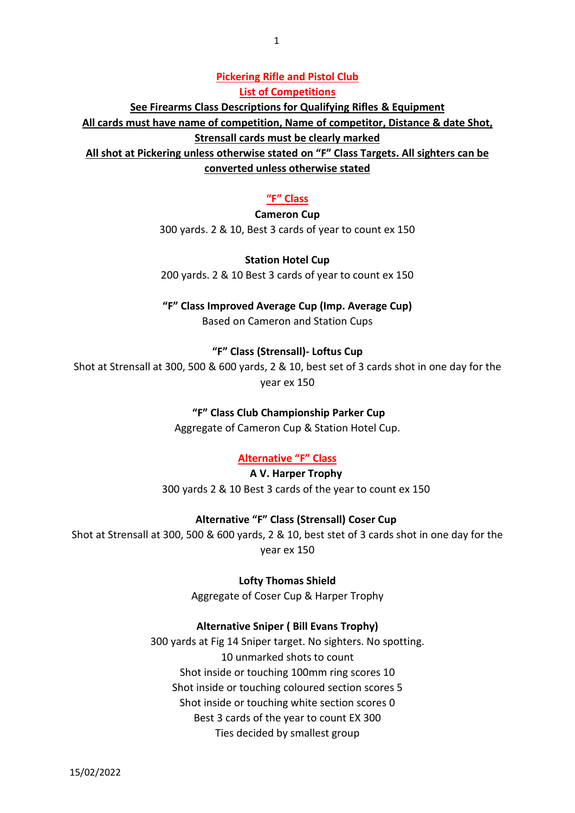#### **Pickering Rifle and Pistol Club List of Competitions**

**See Firearms Class Descriptions for Qualifying Rifles & Equipment**

**All cards must have name of competition, Name of competitor, Distance & date Shot,** 

**Strensall cards must be clearly marked**

**All shot at Pickering unless otherwise stated on "F" Class Targets. All sighters can be converted unless otherwise stated**

#### **"F" Class**

### **Cameron Cup**

300 yards. 2 & 10, Best 3 cards of year to count ex 150

### **Station Hotel Cup**

200 yards. 2 & 10 Best 3 cards of year to count ex 150

**"F" Class Improved Average Cup (Imp. Average Cup)**

Based on Cameron and Station Cups

## **"F" Class (Strensall)- Loftus Cup**

Shot at Strensall at 300, 500 & 600 yards, 2 & 10, best set of 3 cards shot in one day for the year ex 150

### **"F" Class Club Championship Parker Cup**

Aggregate of Cameron Cup & Station Hotel Cup.

### **Alternative "F" Class**

**A V. Harper Trophy** 300 yards 2 & 10 Best 3 cards of the year to count ex 150

### **Alternative "F" Class (Strensall) Coser Cup**

Shot at Strensall at 300, 500 & 600 yards, 2 & 10, best stet of 3 cards shot in one day for the year ex 150

**Lofty Thomas Shield**

Aggregate of Coser Cup & Harper Trophy

### **Alternative Sniper ( Bill Evans Trophy)**

300 yards at Fig 14 Sniper target. No sighters. No spotting. 10 unmarked shots to count Shot inside or touching 100mm ring scores 10 Shot inside or touching coloured section scores 5 Shot inside or touching white section scores 0 Best 3 cards of the year to count EX 300 Ties decided by smallest group

15/02/2022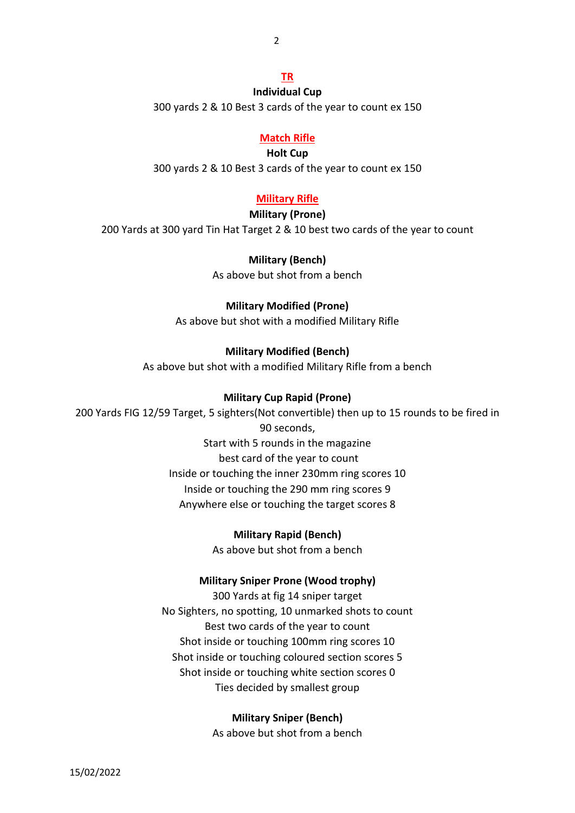2

# **TR**

**Individual Cup** 300 yards 2 & 10 Best 3 cards of the year to count ex 150

# **Match Rifle**

**Holt Cup**

300 yards 2 & 10 Best 3 cards of the year to count ex 150

# **Military Rifle**

# **Military (Prone)**

200 Yards at 300 yard Tin Hat Target 2 & 10 best two cards of the year to count

## **Military (Bench)**

As above but shot from a bench

# **Military Modified (Prone)**

As above but shot with a modified Military Rifle

# **Military Modified (Bench)**

As above but shot with a modified Military Rifle from a bench

# **Military Cup Rapid (Prone)**

200 Yards FIG 12/59 Target, 5 sighters(Not convertible) then up to 15 rounds to be fired in 90 seconds, Start with 5 rounds in the magazine best card of the year to count Inside or touching the inner 230mm ring scores 10 Inside or touching the 290 mm ring scores 9

Anywhere else or touching the target scores 8

# **Military Rapid (Bench)**

As above but shot from a bench

# **Military Sniper Prone (Wood trophy)**

300 Yards at fig 14 sniper target No Sighters, no spotting, 10 unmarked shots to count Best two cards of the year to count Shot inside or touching 100mm ring scores 10 Shot inside or touching coloured section scores 5 Shot inside or touching white section scores 0 Ties decided by smallest group

# **Military Sniper (Bench)**

As above but shot from a bench